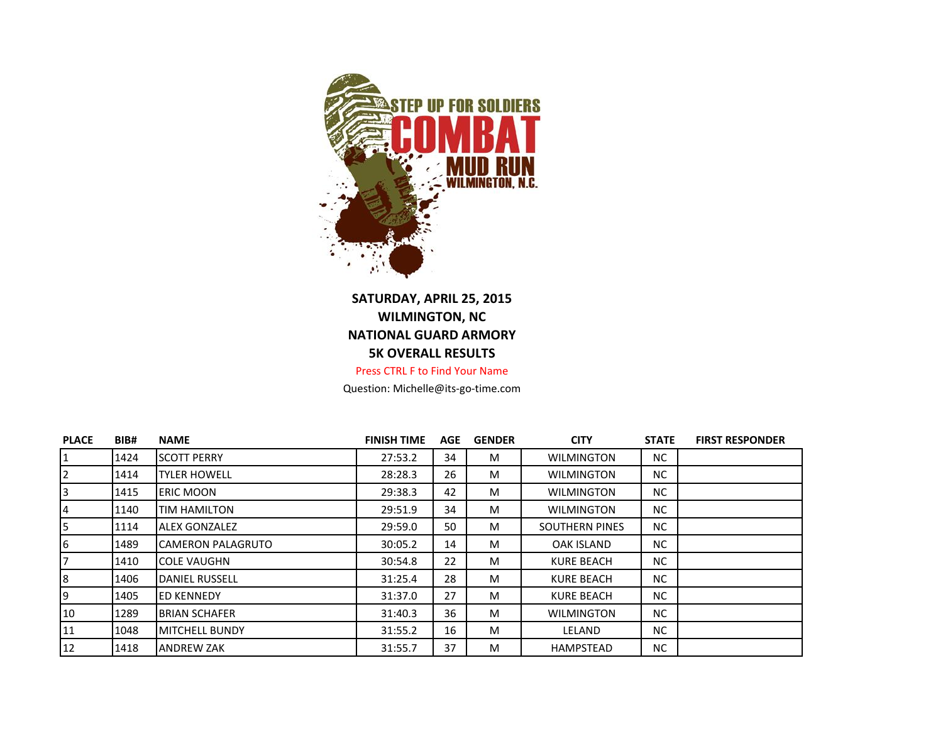

## **SATURDAY, APRIL 25, 2015 WILMINGTON, NC NATIONAL GUARD ARMORY 5K OVERALL RESULTS** Press CTRL F to Find Your Name

Question: Michelle@its-go-time.com

| <b>PLACE</b> | BIB# | <b>NAME</b>               | <b>FINISH TIME</b> | <b>AGE</b> | <b>GENDER</b> | <b>CITY</b>           | <b>STATE</b> | <b>FIRST RESPONDER</b> |
|--------------|------|---------------------------|--------------------|------------|---------------|-----------------------|--------------|------------------------|
|              | 1424 | <b>SCOTT PERRY</b>        | 27:53.2            | 34         | M             | <b>WILMINGTON</b>     | NC.          |                        |
| 2            | 1414 | <b>TYLER HOWELL</b>       | 28:28.3            | 26         | M             | <b>WILMINGTON</b>     | NC.          |                        |
|              | 1415 | <b>ERIC MOON</b>          | 29:38.3            | 42         | M             | <b>WILMINGTON</b>     | NC.          |                        |
| 4            | 1140 | <b>TIM HAMILTON</b>       | 29:51.9            | 34         | M             | <b>WILMINGTON</b>     | NC.          |                        |
|              | 1114 | <b>ALEX GONZALEZ</b>      | 29:59.0            | 50         | M             | <b>SOUTHERN PINES</b> | NC.          |                        |
| 6            | 1489 | <b>ICAMERON PALAGRUTO</b> | 30:05.2            | 14         | M             | <b>OAK ISLAND</b>     | NC.          |                        |
|              | 1410 | <b>COLE VAUGHN</b>        | 30:54.8            | 22         | M             | <b>KURE BEACH</b>     | NC.          |                        |
| 8            | 1406 | DANIEL RUSSELL            | 31:25.4            | 28         | M             | <b>KURE BEACH</b>     | NC.          |                        |
| 9            | 1405 | <b>ED KENNEDY</b>         | 31:37.0            | 27         | M             | <b>KURE BEACH</b>     | NC.          |                        |
| 10           | 1289 | <b>BRIAN SCHAFER</b>      | 31:40.3            | 36         | M             | <b>WILMINGTON</b>     | NC.          |                        |
| 11           | 1048 | <b>IMITCHELL BUNDY</b>    | 31:55.2            | 16         | M             | LELAND                | NC.          |                        |
| 12           | 1418 | <b>ANDREW ZAK</b>         | 31:55.7            | 37         | M             | <b>HAMPSTEAD</b>      | NC.          |                        |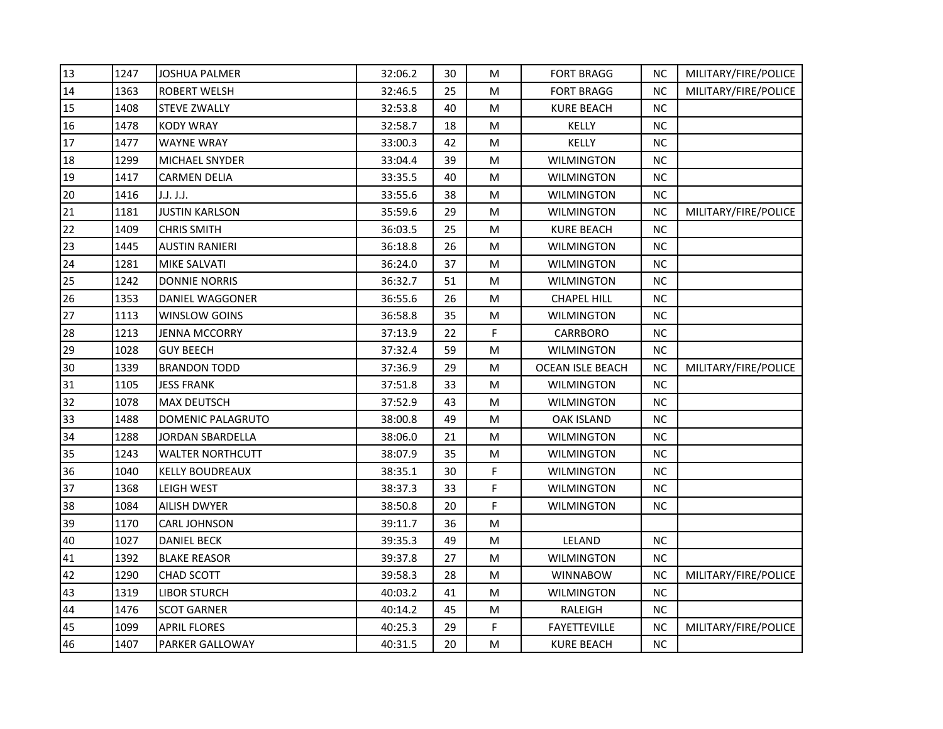| 13 | 1247 | <b>JOSHUA PALMER</b>    | 32:06.2 | 30 | M         | <b>FORT BRAGG</b>       | NС        | MILITARY/FIRE/POLICE |
|----|------|-------------------------|---------|----|-----------|-------------------------|-----------|----------------------|
| 14 | 1363 | <b>ROBERT WELSH</b>     | 32:46.5 | 25 | М         | <b>FORT BRAGG</b>       | <b>NC</b> | MILITARY/FIRE/POLICE |
| 15 | 1408 | <b>STEVE ZWALLY</b>     | 32:53.8 | 40 | M         | <b>KURE BEACH</b>       | <b>NC</b> |                      |
| 16 | 1478 | <b>KODY WRAY</b>        | 32:58.7 | 18 | M         | KELLY                   | <b>NC</b> |                      |
| 17 | 1477 | <b>WAYNE WRAY</b>       | 33:00.3 | 42 | M         | KELLY                   | <b>NC</b> |                      |
| 18 | 1299 | MICHAEL SNYDER          | 33:04.4 | 39 | М         | <b>WILMINGTON</b>       | NC.       |                      |
| 19 | 1417 | <b>CARMEN DELIA</b>     | 33:35.5 | 40 | M         | <b>WILMINGTON</b>       | <b>NC</b> |                      |
| 20 | 1416 | J.J. J.J.               | 33:55.6 | 38 | M         | <b>WILMINGTON</b>       | <b>NC</b> |                      |
| 21 | 1181 | <b>JUSTIN KARLSON</b>   | 35:59.6 | 29 | М         | <b>WILMINGTON</b>       | <b>NC</b> | MILITARY/FIRE/POLICE |
| 22 | 1409 | CHRIS SMITH             | 36:03.5 | 25 | M         | <b>KURE BEACH</b>       | <b>NC</b> |                      |
| 23 | 1445 | <b>AUSTIN RANIERI</b>   | 36:18.8 | 26 | M         | <b>WILMINGTON</b>       | NC.       |                      |
| 24 | 1281 | MIKE SALVATI            | 36:24.0 | 37 | М         | WILMINGTON              | NС        |                      |
| 25 | 1242 | <b>DONNIE NORRIS</b>    | 36:32.7 | 51 | M         | <b>WILMINGTON</b>       | <b>NC</b> |                      |
| 26 | 1353 | DANIEL WAGGONER         | 36:55.6 | 26 | М         | <b>CHAPEL HILL</b>      | NС        |                      |
| 27 | 1113 | WINSLOW GOINS           | 36:58.8 | 35 | M         | <b>WILMINGTON</b>       | <b>NC</b> |                      |
| 28 | 1213 | JENNA MCCORRY           | 37:13.9 | 22 | F         | CARRBORO                | NС        |                      |
| 29 | 1028 | <b>GUY BEECH</b>        | 37:32.4 | 59 | М         | <b>WILMINGTON</b>       | <b>NC</b> |                      |
| 30 | 1339 | <b>BRANDON TODD</b>     | 37:36.9 | 29 | M         | <b>OCEAN ISLE BEACH</b> | <b>NC</b> | MILITARY/FIRE/POLICE |
| 31 | 1105 | <b>JESS FRANK</b>       | 37:51.8 | 33 | М         | <b>WILMINGTON</b>       | <b>NC</b> |                      |
| 32 | 1078 | MAX DEUTSCH             | 37:52.9 | 43 | M         | <b>WILMINGTON</b>       | <b>NC</b> |                      |
| 33 | 1488 | DOMENIC PALAGRUTO       | 38:00.8 | 49 | M         | <b>OAK ISLAND</b>       | NС        |                      |
| 34 | 1288 | <b>JORDAN SBARDELLA</b> | 38:06.0 | 21 | М         | <b>WILMINGTON</b>       | NС        |                      |
| 35 | 1243 | <b>WALTER NORTHCUTT</b> | 38:07.9 | 35 | M         | <b>WILMINGTON</b>       | <b>NC</b> |                      |
| 36 | 1040 | <b>KELLY BOUDREAUX</b>  | 38:35.1 | 30 | F         | <b>WILMINGTON</b>       | NС        |                      |
| 37 | 1368 | LEIGH WEST              | 38:37.3 | 33 | F         | <b>WILMINGTON</b>       | <b>NC</b> |                      |
| 38 | 1084 | <b>AILISH DWYER</b>     | 38:50.8 | 20 | F         | <b>WILMINGTON</b>       | NС        |                      |
| 39 | 1170 | CARL JOHNSON            | 39:11.7 | 36 | М         |                         |           |                      |
| 40 | 1027 | <b>DANIEL BECK</b>      | 39:35.3 | 49 | M         | LELAND                  | <b>NC</b> |                      |
| 41 | 1392 | <b>BLAKE REASOR</b>     | 39:37.8 | 27 | М         | WILMINGTON              | <b>NC</b> |                      |
| 42 | 1290 | CHAD SCOTT              | 39:58.3 | 28 | M         | <b>WINNABOW</b>         | <b>NC</b> | MILITARY/FIRE/POLICE |
| 43 | 1319 | <b>LIBOR STURCH</b>     | 40:03.2 | 41 | ${\sf M}$ | <b>WILMINGTON</b>       | <b>NC</b> |                      |
| 44 | 1476 | <b>SCOT GARNER</b>      | 40:14.2 | 45 | М         | RALEIGH                 | NС        |                      |
| 45 | 1099 | <b>APRIL FLORES</b>     | 40:25.3 | 29 | F         | <b>FAYETTEVILLE</b>     | <b>NC</b> | MILITARY/FIRE/POLICE |
| 46 | 1407 | PARKER GALLOWAY         | 40:31.5 | 20 | M         | <b>KURE BEACH</b>       | <b>NC</b> |                      |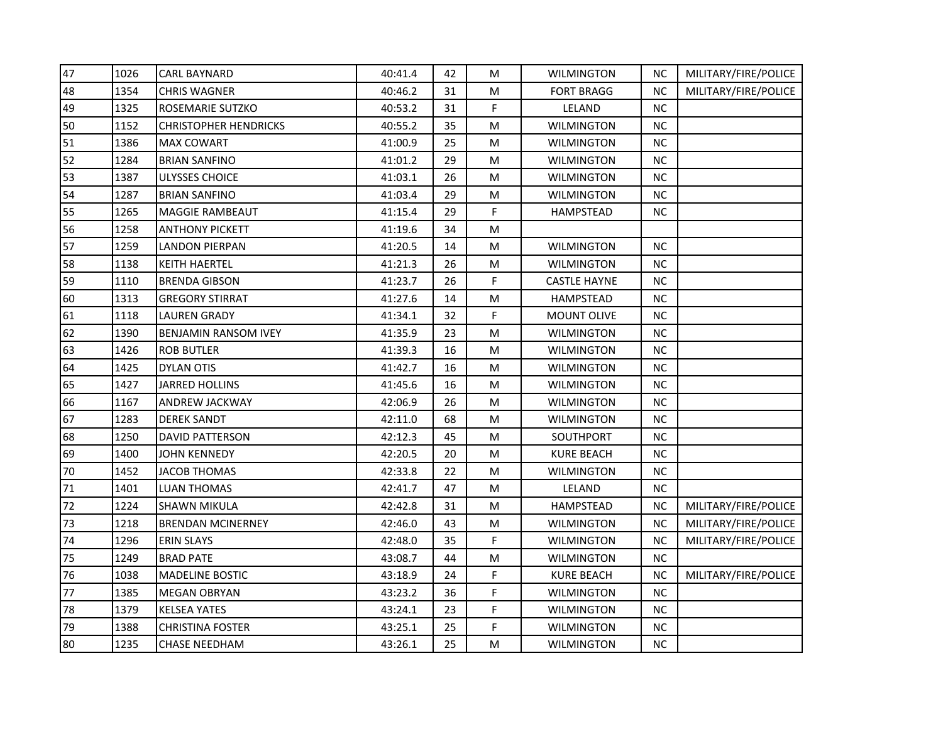| 47 | 1026 | CARL BAYNARD                 | 40:41.4 | 42 | м  | <b>WILMINGTON</b>   | <b>NC</b> | MILITARY/FIRE/POLICE |
|----|------|------------------------------|---------|----|----|---------------------|-----------|----------------------|
| 48 | 1354 | <b>CHRIS WAGNER</b>          | 40:46.2 | 31 | М  | <b>FORT BRAGG</b>   | <b>NC</b> | MILITARY/FIRE/POLICE |
| 49 | 1325 | ROSEMARIE SUTZKO             | 40:53.2 | 31 | F. | LELAND              | NC        |                      |
| 50 | 1152 | <b>CHRISTOPHER HENDRICKS</b> | 40:55.2 | 35 | м  | <b>WILMINGTON</b>   | <b>NC</b> |                      |
| 51 | 1386 | <b>MAX COWART</b>            | 41:00.9 | 25 | М  | <b>WILMINGTON</b>   | <b>NC</b> |                      |
| 52 | 1284 | <b>BRIAN SANFINO</b>         | 41:01.2 | 29 | M  | <b>WILMINGTON</b>   | <b>NC</b> |                      |
| 53 | 1387 | ULYSSES CHOICE               | 41:03.1 | 26 | М  | <b>WILMINGTON</b>   | NC.       |                      |
| 54 | 1287 | <b>BRIAN SANFINO</b>         | 41:03.4 | 29 | М  | <b>WILMINGTON</b>   | NC.       |                      |
| 55 | 1265 | <b>MAGGIE RAMBEAUT</b>       | 41:15.4 | 29 | F. | HAMPSTEAD           | NC        |                      |
| 56 | 1258 | ANTHONY PICKETT              | 41:19.6 | 34 | м  |                     |           |                      |
| 57 | 1259 | LANDON PIERPAN               | 41:20.5 | 14 | М  | <b>WILMINGTON</b>   | <b>NC</b> |                      |
| 58 | 1138 | KEITH HAERTEL                | 41:21.3 | 26 | M  | <b>WILMINGTON</b>   | <b>NC</b> |                      |
| 59 | 1110 | <b>BRENDA GIBSON</b>         | 41:23.7 | 26 | F  | <b>CASTLE HAYNE</b> | <b>NC</b> |                      |
| 60 | 1313 | <b>GREGORY STIRRAT</b>       | 41:27.6 | 14 | М  | <b>HAMPSTEAD</b>    | <b>NC</b> |                      |
| 61 | 1118 | <b>LAUREN GRADY</b>          | 41:34.1 | 32 | F  | <b>MOUNT OLIVE</b>  | NC        |                      |
| 62 | 1390 | <b>BENJAMIN RANSOM IVEY</b>  | 41:35.9 | 23 | М  | <b>WILMINGTON</b>   | <b>NC</b> |                      |
| 63 | 1426 | <b>ROB BUTLER</b>            | 41:39.3 | 16 | М  | <b>WILMINGTON</b>   | <b>NC</b> |                      |
| 64 | 1425 | <b>DYLAN OTIS</b>            | 41:42.7 | 16 | M  | <b>WILMINGTON</b>   | <b>NC</b> |                      |
| 65 | 1427 | <b>JARRED HOLLINS</b>        | 41:45.6 | 16 | м  | WILMINGTON          | <b>NC</b> |                      |
| 66 | 1167 | ANDREW JACKWAY               | 42:06.9 | 26 | М  | <b>WILMINGTON</b>   | <b>NC</b> |                      |
| 67 | 1283 | <b>DEREK SANDT</b>           | 42:11.0 | 68 | М  | <b>WILMINGTON</b>   | NC        |                      |
| 68 | 1250 | <b>DAVID PATTERSON</b>       | 42:12.3 | 45 | М  | SOUTHPORT           | NC.       |                      |
| 69 | 1400 | JOHN KENNEDY                 | 42:20.5 | 20 | M  | <b>KURE BEACH</b>   | NC        |                      |
| 70 | 1452 | JACOB THOMAS                 | 42:33.8 | 22 | М  | <b>WILMINGTON</b>   | <b>NC</b> |                      |
| 71 | 1401 | LUAN THOMAS                  | 42:41.7 | 47 | М  | LELAND              | NC.       |                      |
| 72 | 1224 | <b>SHAWN MIKULA</b>          | 42:42.8 | 31 | М  | <b>HAMPSTEAD</b>    | NC.       | MILITARY/FIRE/POLICE |
| 73 | 1218 | <b>BRENDAN MCINERNEY</b>     | 42:46.0 | 43 | M  | <b>WILMINGTON</b>   | <b>NC</b> | MILITARY/FIRE/POLICE |
| 74 | 1296 | <b>ERIN SLAYS</b>            | 42:48.0 | 35 | F  | <b>WILMINGTON</b>   | <b>NC</b> | MILITARY/FIRE/POLICE |
| 75 | 1249 | <b>BRAD PATE</b>             | 43:08.7 | 44 | М  | <b>WILMINGTON</b>   | NC        |                      |
| 76 | 1038 | <b>MADELINE BOSTIC</b>       | 43:18.9 | 24 | F  | <b>KURE BEACH</b>   | NC        | MILITARY/FIRE/POLICE |
| 77 | 1385 | <b>MEGAN OBRYAN</b>          | 43:23.2 | 36 | F  | <b>WILMINGTON</b>   | NC.       |                      |
| 78 | 1379 | <b>KELSEA YATES</b>          | 43:24.1 | 23 | F  | <b>WILMINGTON</b>   | <b>NC</b> |                      |
| 79 | 1388 | <b>CHRISTINA FOSTER</b>      | 43:25.1 | 25 | F  | <b>WILMINGTON</b>   | $\sf NC$  |                      |
| 80 | 1235 | CHASE NEEDHAM                | 43:26.1 | 25 | м  | WILMINGTON          | <b>NC</b> |                      |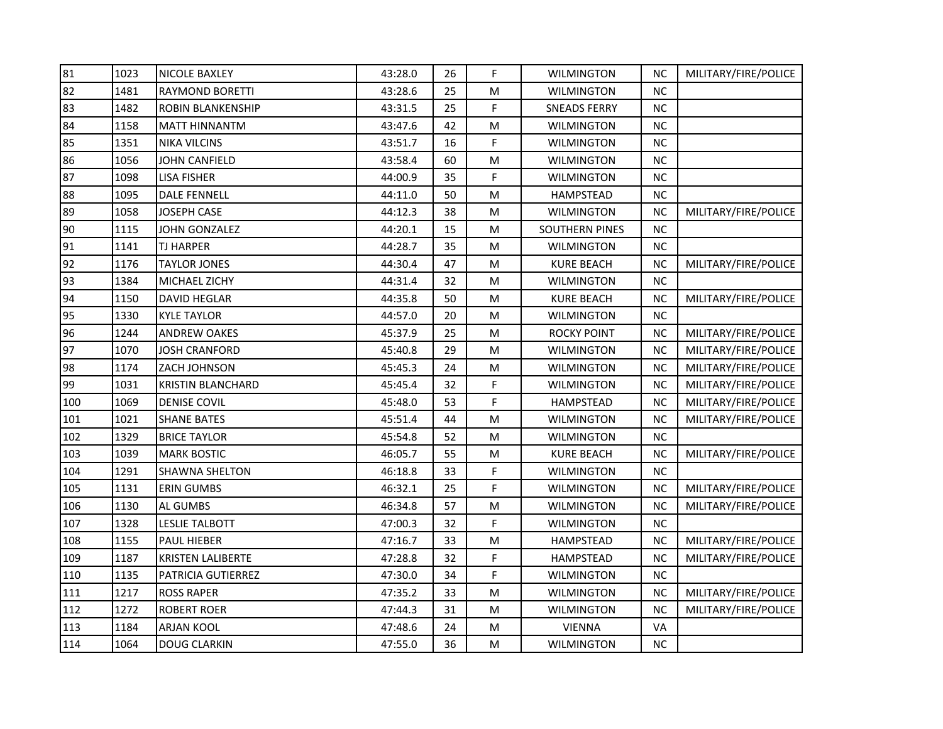| 81  | 1023 | NICOLE BAXLEY            | 43:28.0 | 26 | F  | <b>WILMINGTON</b>     | NC.       | MILITARY/FIRE/POLICE |
|-----|------|--------------------------|---------|----|----|-----------------------|-----------|----------------------|
| 82  | 1481 | <b>RAYMOND BORETTI</b>   | 43:28.6 | 25 | M  | <b>WILMINGTON</b>     | <b>NC</b> |                      |
| 83  | 1482 | <b>ROBIN BLANKENSHIP</b> | 43:31.5 | 25 | F  | <b>SNEADS FERRY</b>   | <b>NC</b> |                      |
| 84  | 1158 | <b>MATT HINNANTM</b>     | 43:47.6 | 42 | M  | <b>WILMINGTON</b>     | <b>NC</b> |                      |
| 85  | 1351 | <b>NIKA VILCINS</b>      | 43:51.7 | 16 | F  | <b>WILMINGTON</b>     | <b>NC</b> |                      |
| 86  | 1056 | JOHN CANFIELD            | 43:58.4 | 60 | M  | <b>WILMINGTON</b>     | <b>NC</b> |                      |
| 87  | 1098 | <b>LISA FISHER</b>       | 44:00.9 | 35 | F  | <b>WILMINGTON</b>     | <b>NC</b> |                      |
| 88  | 1095 | <b>DALE FENNELL</b>      | 44:11.0 | 50 | M  | <b>HAMPSTEAD</b>      | <b>NC</b> |                      |
| 89  | 1058 | <b>JOSEPH CASE</b>       | 44:12.3 | 38 | M  | WILMINGTON            | <b>NC</b> | MILITARY/FIRE/POLICE |
| 90  | 1115 | <b>JOHN GONZALEZ</b>     | 44:20.1 | 15 | M  | <b>SOUTHERN PINES</b> | <b>NC</b> |                      |
| 91  | 1141 | <b>TJ HARPER</b>         | 44:28.7 | 35 | M  | <b>WILMINGTON</b>     | <b>NC</b> |                      |
| 92  | 1176 | <b>TAYLOR JONES</b>      | 44:30.4 | 47 | M  | <b>KURE BEACH</b>     | <b>NC</b> | MILITARY/FIRE/POLICE |
| 93  | 1384 | MICHAEL ZICHY            | 44:31.4 | 32 | М  | <b>WILMINGTON</b>     | <b>NC</b> |                      |
| 94  | 1150 | <b>DAVID HEGLAR</b>      | 44:35.8 | 50 | M  | <b>KURE BEACH</b>     | <b>NC</b> | MILITARY/FIRE/POLICE |
| 95  | 1330 | <b>KYLE TAYLOR</b>       | 44:57.0 | 20 | M  | <b>WILMINGTON</b>     | <b>NC</b> |                      |
| 96  | 1244 | <b>ANDREW OAKES</b>      | 45:37.9 | 25 | M  | <b>ROCKY POINT</b>    | <b>NC</b> | MILITARY/FIRE/POLICE |
| 97  | 1070 | JOSH CRANFORD            | 45:40.8 | 29 | M  | <b>WILMINGTON</b>     | <b>NC</b> | MILITARY/FIRE/POLICE |
| 98  | 1174 | ZACH JOHNSON             | 45:45.3 | 24 | М  | <b>WILMINGTON</b>     | <b>NC</b> | MILITARY/FIRE/POLICE |
| 99  | 1031 | <b>KRISTIN BLANCHARD</b> | 45:45.4 | 32 | F. | <b>WILMINGTON</b>     | <b>NC</b> | MILITARY/FIRE/POLICE |
| 100 | 1069 | <b>DENISE COVIL</b>      | 45:48.0 | 53 | F  | HAMPSTEAD             | <b>NC</b> | MILITARY/FIRE/POLICE |
| 101 | 1021 | <b>SHANE BATES</b>       | 45:51.4 | 44 | M  | <b>WILMINGTON</b>     | <b>NC</b> | MILITARY/FIRE/POLICE |
| 102 | 1329 | <b>BRICE TAYLOR</b>      | 45:54.8 | 52 | M  | <b>WILMINGTON</b>     | <b>NC</b> |                      |
| 103 | 1039 | <b>MARK BOSTIC</b>       | 46:05.7 | 55 | M  | <b>KURE BEACH</b>     | <b>NC</b> | MILITARY/FIRE/POLICE |
| 104 | 1291 | <b>SHAWNA SHELTON</b>    | 46:18.8 | 33 | F. | WILMINGTON            | <b>NC</b> |                      |
| 105 | 1131 | <b>ERIN GUMBS</b>        | 46:32.1 | 25 | F  | <b>WILMINGTON</b>     | <b>NC</b> | MILITARY/FIRE/POLICE |
| 106 | 1130 | AL GUMBS                 | 46:34.8 | 57 | M  | <b>WILMINGTON</b>     | <b>NC</b> | MILITARY/FIRE/POLICE |
| 107 | 1328 | <b>LESLIE TALBOTT</b>    | 47:00.3 | 32 | F  | WILMINGTON            | <b>NC</b> |                      |
| 108 | 1155 | PAUL HIEBER              | 47:16.7 | 33 | M  | HAMPSTEAD             | $NC$      | MILITARY/FIRE/POLICE |
| 109 | 1187 | KRISTEN LALIBERTE        | 47:28.8 | 32 | F. | HAMPSTEAD             | <b>NC</b> | MILITARY/FIRE/POLICE |
| 110 | 1135 | PATRICIA GUTIERREZ       | 47:30.0 | 34 | F  | <b>WILMINGTON</b>     | <b>NC</b> |                      |
| 111 | 1217 | <b>ROSS RAPER</b>        | 47:35.2 | 33 | M  | <b>WILMINGTON</b>     | <b>NC</b> | MILITARY/FIRE/POLICE |
| 112 | 1272 | <b>ROBERT ROER</b>       | 47:44.3 | 31 | М  | <b>WILMINGTON</b>     | <b>NC</b> | MILITARY/FIRE/POLICE |
| 113 | 1184 | <b>ARJAN KOOL</b>        | 47:48.6 | 24 | M  | <b>VIENNA</b>         | VA        |                      |
| 114 | 1064 | <b>DOUG CLARKIN</b>      | 47:55.0 | 36 | М  | <b>WILMINGTON</b>     | NC.       |                      |
|     |      |                          |         |    |    |                       |           |                      |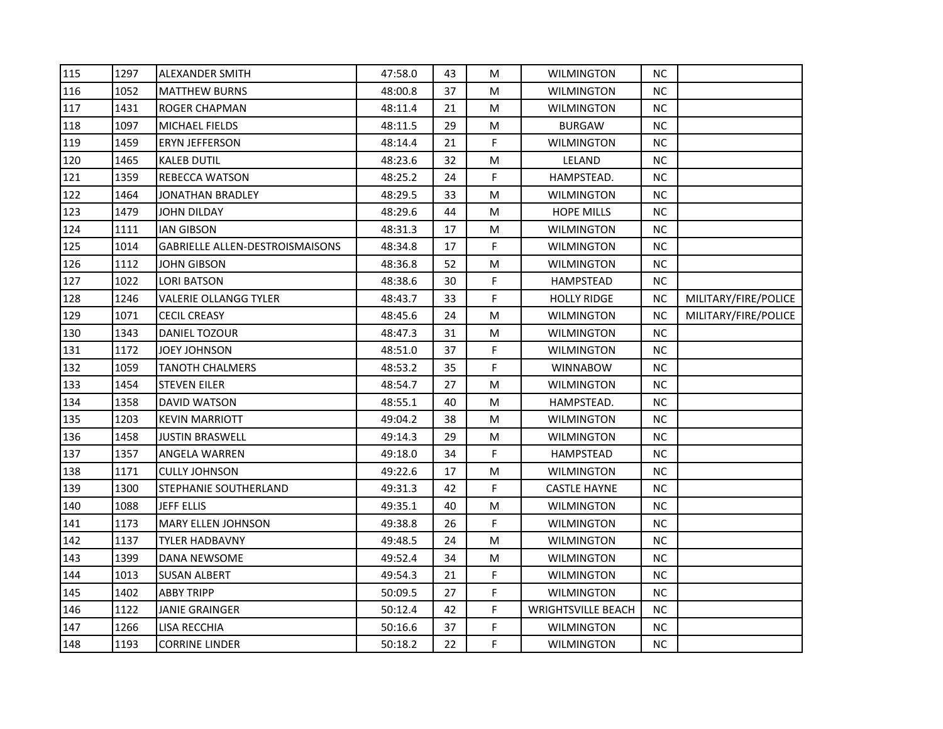| 115 | 1297 | ALEXANDER SMITH                 | 47:58.0 | 43 | M  | <b>WILMINGTON</b>         | NC.       |                      |
|-----|------|---------------------------------|---------|----|----|---------------------------|-----------|----------------------|
| 116 | 1052 | <b>MATTHEW BURNS</b>            | 48:00.8 | 37 | М  | <b>WILMINGTON</b>         | NC        |                      |
| 117 | 1431 | <b>ROGER CHAPMAN</b>            | 48:11.4 | 21 | M  | <b>WILMINGTON</b>         | NC        |                      |
| 118 | 1097 | MICHAEL FIELDS                  | 48:11.5 | 29 | M  | <b>BURGAW</b>             | <b>NC</b> |                      |
| 119 | 1459 | ERYN JEFFERSON                  | 48:14.4 | 21 | F  | <b>WILMINGTON</b>         | <b>NC</b> |                      |
| 120 | 1465 | KALEB DUTIL                     | 48:23.6 | 32 | М  | LELAND                    | NC.       |                      |
| 121 | 1359 | REBECCA WATSON                  | 48:25.2 | 24 | F  | HAMPSTEAD.                | NC.       |                      |
| 122 | 1464 | JONATHAN BRADLEY                | 48:29.5 | 33 | M  | <b>WILMINGTON</b>         | <b>NC</b> |                      |
| 123 | 1479 | JOHN DILDAY                     | 48:29.6 | 44 | M  | <b>HOPE MILLS</b>         | NC.       |                      |
| 124 | 1111 | IAN GIBSON                      | 48:31.3 | 17 | M  | WILMINGTON                | NC.       |                      |
| 125 | 1014 | GABRIELLE ALLEN-DESTROISMAISONS | 48:34.8 | 17 | F. | <b>WILMINGTON</b>         | NC.       |                      |
| 126 | 1112 | JOHN GIBSON                     | 48:36.8 | 52 | М  | <b>WILMINGTON</b>         | <b>NC</b> |                      |
| 127 | 1022 | <b>LORI BATSON</b>              | 48:38.6 | 30 | F. | HAMPSTEAD                 | NC        |                      |
| 128 | 1246 | <b>VALERIE OLLANGG TYLER</b>    | 48:43.7 | 33 | F  | <b>HOLLY RIDGE</b>        | <b>NC</b> | MILITARY/FIRE/POLICE |
| 129 | 1071 | <b>CECIL CREASY</b>             | 48:45.6 | 24 | М  | <b>WILMINGTON</b>         | <b>NC</b> | MILITARY/FIRE/POLICE |
| 130 | 1343 | DANIEL TOZOUR                   | 48:47.3 | 31 | M  | WILMINGTON                | NC.       |                      |
| 131 | 1172 | <b>JOEY JOHNSON</b>             | 48:51.0 | 37 | F  | <b>WILMINGTON</b>         | NС        |                      |
| 132 | 1059 | <b>TANOTH CHALMERS</b>          | 48:53.2 | 35 | F. | <b>WINNABOW</b>           | <b>NC</b> |                      |
| 133 | 1454 | <b>STEVEN EILER</b>             | 48:54.7 | 27 | M  | <b>WILMINGTON</b>         | <b>NC</b> |                      |
| 134 | 1358 | DAVID WATSON                    | 48:55.1 | 40 | M  | HAMPSTEAD.                | NC.       |                      |
| 135 | 1203 | KEVIN MARRIOTT                  | 49:04.2 | 38 | М  | WILMINGTON                | NC.       |                      |
| 136 | 1458 | <b>JUSTIN BRASWELL</b>          | 49:14.3 | 29 | M  | <b>WILMINGTON</b>         | NC.       |                      |
| 137 | 1357 | ANGELA WARREN                   | 49:18.0 | 34 | F  | <b>HAMPSTEAD</b>          | NC.       |                      |
| 138 | 1171 | <b>CULLY JOHNSON</b>            | 49:22.6 | 17 | M  | <b>WILMINGTON</b>         | <b>NC</b> |                      |
| 139 | 1300 | STEPHANIE SOUTHERLAND           | 49:31.3 | 42 | F  | <b>CASTLE HAYNE</b>       | NC.       |                      |
| 140 | 1088 | <b>JEFF ELLIS</b>               | 49:35.1 | 40 | М  | <b>WILMINGTON</b>         | NC.       |                      |
| 141 | 1173 | <b>MARY ELLEN JOHNSON</b>       | 49:38.8 | 26 | F  | <b>WILMINGTON</b>         | NC.       |                      |
| 142 | 1137 | <b>TYLER HADBAVNY</b>           | 49:48.5 | 24 | M  | <b>WILMINGTON</b>         | <b>NC</b> |                      |
| 143 | 1399 | DANA NEWSOME                    | 49:52.4 | 34 | М  | <b>WILMINGTON</b>         | NC.       |                      |
| 144 | 1013 | <b>SUSAN ALBERT</b>             | 49:54.3 | 21 | F  | <b>WILMINGTON</b>         | NC        |                      |
| 145 | 1402 | <b>ABBY TRIPP</b>               | 50:09.5 | 27 | F  | <b>WILMINGTON</b>         | NC.       |                      |
| 146 | 1122 | <b>JANIE GRAINGER</b>           | 50:12.4 | 42 | F. | <b>WRIGHTSVILLE BEACH</b> | NC.       |                      |
| 147 | 1266 | <b>LISA RECCHIA</b>             | 50:16.6 | 37 | F. | <b>WILMINGTON</b>         | NC.       |                      |
| 148 | 1193 | <b>CORRINE LINDER</b>           | 50:18.2 | 22 | F. | WILMINGTON                | NC.       |                      |
|     |      |                                 |         |    |    |                           |           |                      |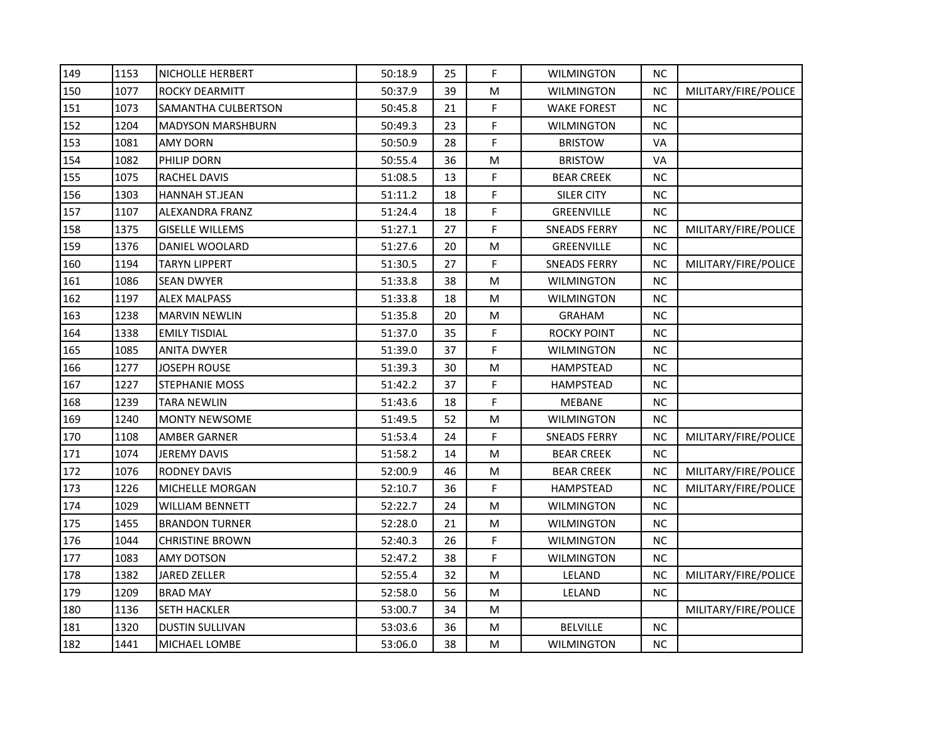| 149 | 1153 | <b>NICHOLLE HERBERT</b>    | 50:18.9 | 25 | F. | <b>WILMINGTON</b>   | NС        |                      |
|-----|------|----------------------------|---------|----|----|---------------------|-----------|----------------------|
| 150 | 1077 | <b>ROCKY DEARMITT</b>      | 50:37.9 | 39 | M  | <b>WILMINGTON</b>   | <b>NC</b> | MILITARY/FIRE/POLICE |
| 151 | 1073 | <b>SAMANTHA CULBERTSON</b> | 50:45.8 | 21 | F  | <b>WAKE FOREST</b>  | <b>NC</b> |                      |
| 152 | 1204 | <b>MADYSON MARSHBURN</b>   | 50:49.3 | 23 | F  | <b>WILMINGTON</b>   | ΝC        |                      |
| 153 | 1081 | <b>AMY DORN</b>            | 50:50.9 | 28 | F  | <b>BRISTOW</b>      | VA        |                      |
| 154 | 1082 | PHILIP DORN                | 50:55.4 | 36 | Μ  | <b>BRISTOW</b>      | VA        |                      |
| 155 | 1075 | RACHEL DAVIS               | 51:08.5 | 13 | F  | <b>BEAR CREEK</b>   | NС        |                      |
| 156 | 1303 | <b>HANNAH ST.JEAN</b>      | 51:11.2 | 18 | F  | <b>SILER CITY</b>   | <b>NC</b> |                      |
| 157 | 1107 | ALEXANDRA FRANZ            | 51:24.4 | 18 | F. | GREENVILLE          | ΝC        |                      |
| 158 | 1375 | <b>GISELLE WILLEMS</b>     | 51:27.1 | 27 | F  | <b>SNEADS FERRY</b> | <b>NC</b> | MILITARY/FIRE/POLICE |
| 159 | 1376 | DANIEL WOOLARD             | 51:27.6 | 20 | M  | GREENVILLE          | ΝC        |                      |
| 160 | 1194 | <b>TARYN LIPPERT</b>       | 51:30.5 | 27 | F. | <b>SNEADS FERRY</b> | <b>NC</b> | MILITARY/FIRE/POLICE |
| 161 | 1086 | <b>SEAN DWYER</b>          | 51:33.8 | 38 | M  | <b>WILMINGTON</b>   | <b>NC</b> |                      |
| 162 | 1197 | <b>ALEX MALPASS</b>        | 51:33.8 | 18 | м  | <b>WILMINGTON</b>   | ΝC        |                      |
| 163 | 1238 | <b>MARVIN NEWLIN</b>       | 51:35.8 | 20 | M  | <b>GRAHAM</b>       | <b>NC</b> |                      |
| 164 | 1338 | <b>EMILY TISDIAL</b>       | 51:37.0 | 35 | F  | <b>ROCKY POINT</b>  | ΝC        |                      |
| 165 | 1085 | <b>ANITA DWYER</b>         | 51:39.0 | 37 | F  | <b>WILMINGTON</b>   | <b>NC</b> |                      |
| 166 | 1277 | <b>JOSEPH ROUSE</b>        | 51:39.3 | 30 | M  | HAMPSTEAD           | ΝC        |                      |
| 167 | 1227 | <b>STEPHANIE MOSS</b>      | 51:42.2 | 37 | F. | HAMPSTEAD           | ΝC        |                      |
| 168 | 1239 | <b>TARA NEWLIN</b>         | 51:43.6 | 18 | F  | <b>MEBANE</b>       | <b>NC</b> |                      |
| 169 | 1240 | <b>MONTY NEWSOME</b>       | 51:49.5 | 52 | M  | <b>WILMINGTON</b>   | <b>NC</b> |                      |
| 170 | 1108 | <b>AMBER GARNER</b>        | 51:53.4 | 24 | F. | <b>SNEADS FERRY</b> | <b>NC</b> | MILITARY/FIRE/POLICE |
| 171 | 1074 | <b>JEREMY DAVIS</b>        | 51:58.2 | 14 | M  | <b>BEAR CREEK</b>   | <b>NC</b> |                      |
| 172 | 1076 | RODNEY DAVIS               | 52:00.9 | 46 | M  | <b>BEAR CREEK</b>   | <b>NC</b> | MILITARY/FIRE/POLICE |
| 173 | 1226 | MICHELLE MORGAN            | 52:10.7 | 36 | F  | <b>HAMPSTEAD</b>    | <b>NC</b> | MILITARY/FIRE/POLICE |
| 174 | 1029 | WILLIAM BENNETT            | 52:22.7 | 24 | M  | <b>WILMINGTON</b>   | ΝC        |                      |
| 175 | 1455 | <b>BRANDON TURNER</b>      | 52:28.0 | 21 | М  | <b>WILMINGTON</b>   | NС        |                      |
| 176 | 1044 | <b>CHRISTINE BROWN</b>     | 52:40.3 | 26 | F  | <b>WILMINGTON</b>   | ΝC        |                      |
| 177 | 1083 | AMY DOTSON                 | 52:47.2 | 38 | F. | <b>WILMINGTON</b>   | <b>NC</b> |                      |
| 178 | 1382 | JARED ZELLER               | 52:55.4 | 32 | M  | LELAND              | <b>NC</b> | MILITARY/FIRE/POLICE |
| 179 | 1209 | <b>BRAD MAY</b>            | 52:58.0 | 56 | M  | LELAND              | <b>NC</b> |                      |
| 180 | 1136 | <b>SETH HACKLER</b>        | 53:00.7 | 34 | М  |                     |           | MILITARY/FIRE/POLICE |
| 181 | 1320 | <b>DUSTIN SULLIVAN</b>     | 53:03.6 | 36 | M  | <b>BELVILLE</b>     | <b>NC</b> |                      |
| 182 | 1441 | MICHAEL LOMBE              | 53:06.0 | 38 | M  | <b>WILMINGTON</b>   | ΝC        |                      |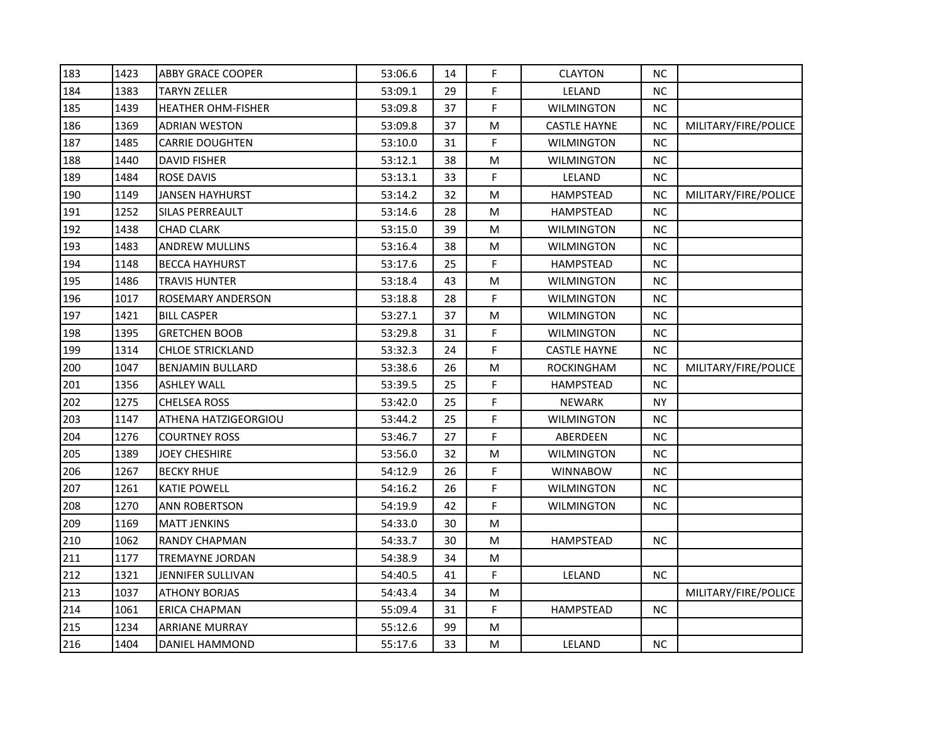| 183 | 1423 | <b>ABBY GRACE COOPER</b>  | 53:06.6 | 14 | F. | <b>CLAYTON</b>      | NC.       |                      |
|-----|------|---------------------------|---------|----|----|---------------------|-----------|----------------------|
| 184 | 1383 | <b>TARYN ZELLER</b>       | 53:09.1 | 29 | F  | LELAND              | NC.       |                      |
| 185 | 1439 | <b>HEATHER OHM-FISHER</b> | 53:09.8 | 37 | F. | <b>WILMINGTON</b>   | <b>NC</b> |                      |
| 186 | 1369 | ADRIAN WESTON             | 53:09.8 | 37 | м  | <b>CASTLE HAYNE</b> | ΝC        | MILITARY/FIRE/POLICE |
| 187 | 1485 | <b>CARRIE DOUGHTEN</b>    | 53:10.0 | 31 | F  | <b>WILMINGTON</b>   | <b>NC</b> |                      |
| 188 | 1440 | DAVID FISHER              | 53:12.1 | 38 | M  | <b>WILMINGTON</b>   | NC.       |                      |
| 189 | 1484 | <b>ROSE DAVIS</b>         | 53:13.1 | 33 | F  | LELAND              | <b>NC</b> |                      |
| 190 | 1149 | <b>JANSEN HAYHURST</b>    | 53:14.2 | 32 | Μ  | <b>HAMPSTEAD</b>    | <b>NC</b> | MILITARY/FIRE/POLICE |
| 191 | 1252 | SILAS PERREAULT           | 53:14.6 | 28 | м  | <b>HAMPSTEAD</b>    | NC.       |                      |
| 192 | 1438 | <b>CHAD CLARK</b>         | 53:15.0 | 39 | M  | <b>WILMINGTON</b>   | <b>NC</b> |                      |
| 193 | 1483 | <b>ANDREW MULLINS</b>     | 53:16.4 | 38 | М  | <b>WILMINGTON</b>   | NC.       |                      |
| 194 | 1148 | <b>BECCA HAYHURST</b>     | 53:17.6 | 25 | F  | <b>HAMPSTEAD</b>    | NС        |                      |
| 195 | 1486 | <b>TRAVIS HUNTER</b>      | 53:18.4 | 43 | Μ  | <b>WILMINGTON</b>   | NC.       |                      |
| 196 | 1017 | ROSEMARY ANDERSON         | 53:18.8 | 28 | F  | <b>WILMINGTON</b>   | NC.       |                      |
| 197 | 1421 | <b>BILL CASPER</b>        | 53:27.1 | 37 | Μ  | <b>WILMINGTON</b>   | NC.       |                      |
| 198 | 1395 | GRETCHEN BOOB             | 53:29.8 | 31 | F  | <b>WILMINGTON</b>   | NC.       |                      |
| 199 | 1314 | CHLOE STRICKLAND          | 53:32.3 | 24 | F  | <b>CASTLE HAYNE</b> | <b>NC</b> |                      |
| 200 | 1047 | <b>BENJAMIN BULLARD</b>   | 53:38.6 | 26 | Μ  | <b>ROCKINGHAM</b>   | <b>NC</b> | MILITARY/FIRE/POLICE |
| 201 | 1356 | ASHLEY WALL               | 53:39.5 | 25 | F  | HAMPSTEAD           | NC.       |                      |
| 202 | 1275 | CHELSEA ROSS              | 53:42.0 | 25 | F  | <b>NEWARK</b>       | <b>NY</b> |                      |
| 203 | 1147 | ATHENA HATZIGEORGIOU      | 53:44.2 | 25 | F  | <b>WILMINGTON</b>   | NC.       |                      |
| 204 | 1276 | <b>COURTNEY ROSS</b>      | 53:46.7 | 27 | F  | ABERDEEN            | NC.       |                      |
| 205 | 1389 | <b>JOEY CHESHIRE</b>      | 53:56.0 | 32 | M  | <b>WILMINGTON</b>   | ΝC        |                      |
| 206 | 1267 | <b>BECKY RHUE</b>         | 54:12.9 | 26 | F  | <b>WINNABOW</b>     | NC.       |                      |
| 207 | 1261 | <b>KATIE POWELL</b>       | 54:16.2 | 26 | F  | <b>WILMINGTON</b>   | NC.       |                      |
| 208 | 1270 | <b>ANN ROBERTSON</b>      | 54:19.9 | 42 | F  | <b>WILMINGTON</b>   | NC.       |                      |
| 209 | 1169 | <b>MATT JENKINS</b>       | 54:33.0 | 30 | М  |                     |           |                      |
| 210 | 1062 | <b>RANDY CHAPMAN</b>      | 54:33.7 | 30 | Μ  | <b>HAMPSTEAD</b>    | ΝC        |                      |
| 211 | 1177 | TREMAYNE JORDAN           | 54:38.9 | 34 | M  |                     |           |                      |
| 212 | 1321 | JENNIFER SULLIVAN         | 54:40.5 | 41 | F  | LELAND              | <b>NC</b> |                      |
| 213 | 1037 | <b>ATHONY BORJAS</b>      | 54:43.4 | 34 | M  |                     |           | MILITARY/FIRE/POLICE |
| 214 | 1061 | ERICA CHAPMAN             | 55:09.4 | 31 | F  | <b>HAMPSTEAD</b>    | NС        |                      |
| 215 | 1234 | <b>ARRIANE MURRAY</b>     | 55:12.6 | 99 | M  |                     |           |                      |
| 216 | 1404 | DANIEL HAMMOND            | 55:17.6 | 33 | м  | LELAND              | NC.       |                      |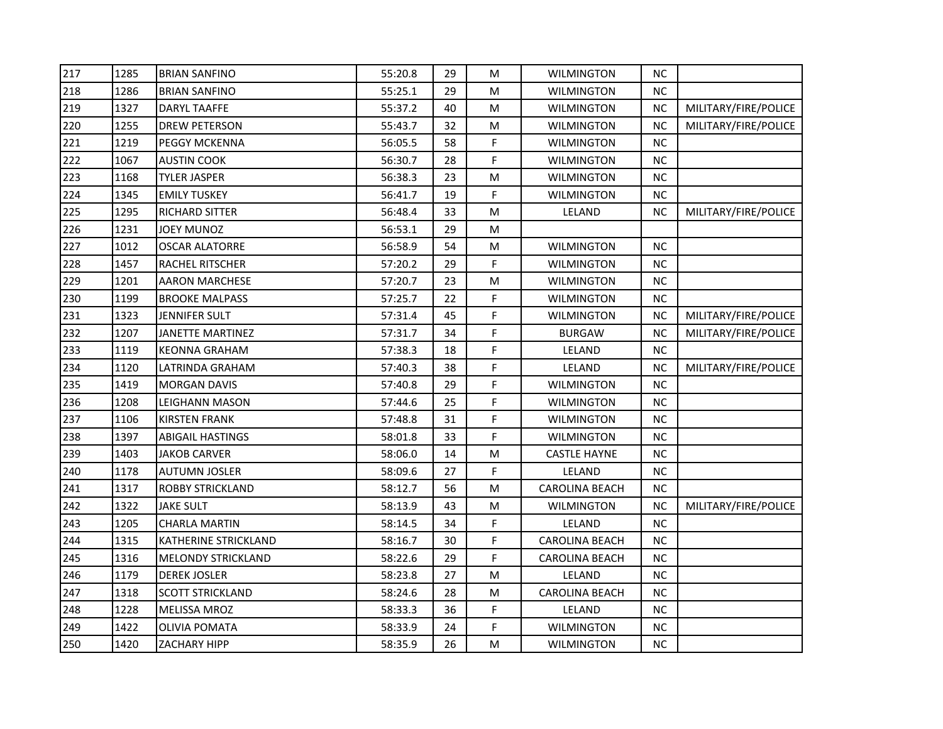| 217 | 1285 | <b>BRIAN SANFINO</b>      | 55:20.8 | 29 | M  | <b>WILMINGTON</b>     | <b>NC</b> |                      |
|-----|------|---------------------------|---------|----|----|-----------------------|-----------|----------------------|
| 218 | 1286 | <b>BRIAN SANFINO</b>      | 55:25.1 | 29 | M  | <b>WILMINGTON</b>     | <b>NC</b> |                      |
| 219 | 1327 | <b>DARYL TAAFFE</b>       | 55:37.2 | 40 | M  | <b>WILMINGTON</b>     | NC        | MILITARY/FIRE/POLICE |
| 220 | 1255 | <b>DREW PETERSON</b>      | 55:43.7 | 32 | М  | <b>WILMINGTON</b>     | <b>NC</b> | MILITARY/FIRE/POLICE |
| 221 | 1219 | PEGGY MCKENNA             | 56:05.5 | 58 | F. | <b>WILMINGTON</b>     | <b>NC</b> |                      |
| 222 | 1067 | AUSTIN COOK               | 56:30.7 | 28 | F  | <b>WILMINGTON</b>     | <b>NC</b> |                      |
| 223 | 1168 | <b>TYLER JASPER</b>       | 56:38.3 | 23 | М  | WILMINGTON            | <b>NC</b> |                      |
| 224 | 1345 | <b>EMILY TUSKEY</b>       | 56:41.7 | 19 | F  | <b>WILMINGTON</b>     | <b>NC</b> |                      |
| 225 | 1295 | RICHARD SITTER            | 56:48.4 | 33 | M  | LELAND                | NC        | MILITARY/FIRE/POLICE |
| 226 | 1231 | JOEY MUNOZ                | 56:53.1 | 29 | М  |                       |           |                      |
| 227 | 1012 | <b>OSCAR ALATORRE</b>     | 56:58.9 | 54 | M  | <b>WILMINGTON</b>     | <b>NC</b> |                      |
| 228 | 1457 | RACHEL RITSCHER           | 57:20.2 | 29 | F  | <b>WILMINGTON</b>     | <b>NC</b> |                      |
| 229 | 1201 | AARON MARCHESE            | 57:20.7 | 23 | М  | <b>WILMINGTON</b>     | <b>NC</b> |                      |
| 230 | 1199 | <b>BROOKE MALPASS</b>     | 57:25.7 | 22 | F  | <b>WILMINGTON</b>     | <b>NC</b> |                      |
| 231 | 1323 | <b>JENNIFER SULT</b>      | 57:31.4 | 45 | F  | <b>WILMINGTON</b>     | NC        | MILITARY/FIRE/POLICE |
| 232 | 1207 | JANETTE MARTINEZ          | 57:31.7 | 34 | F  | <b>BURGAW</b>         | <b>NC</b> | MILITARY/FIRE/POLICE |
| 233 | 1119 | <b>KEONNA GRAHAM</b>      | 57:38.3 | 18 | F  | LELAND                | <b>NC</b> |                      |
| 234 | 1120 | LATRINDA GRAHAM           | 57:40.3 | 38 | F  | LELAND                | <b>NC</b> | MILITARY/FIRE/POLICE |
| 235 | 1419 | <b>MORGAN DAVIS</b>       | 57:40.8 | 29 | F  | <b>WILMINGTON</b>     | <b>NC</b> |                      |
| 236 | 1208 | LEIGHANN MASON            | 57:44.6 | 25 | F  | <b>WILMINGTON</b>     | <b>NC</b> |                      |
| 237 | 1106 | <b>KIRSTEN FRANK</b>      | 57:48.8 | 31 | F  | <b>WILMINGTON</b>     | NC        |                      |
| 238 | 1397 | <b>ABIGAIL HASTINGS</b>   | 58:01.8 | 33 | F  | <b>WILMINGTON</b>     | <b>NC</b> |                      |
| 239 | 1403 | JAKOB CARVER              | 58:06.0 | 14 | M  | <b>CASTLE HAYNE</b>   | NC        |                      |
| 240 | 1178 | AUTUMN JOSLER             | 58:09.6 | 27 | F  | LELAND                | <b>NC</b> |                      |
| 241 | 1317 | ROBBY STRICKLAND          | 58:12.7 | 56 | М  | <b>CAROLINA BEACH</b> | <b>NC</b> |                      |
| 242 | 1322 | <b>JAKE SULT</b>          | 58:13.9 | 43 | M  | <b>WILMINGTON</b>     | <b>NC</b> | MILITARY/FIRE/POLICE |
| 243 | 1205 | <b>CHARLA MARTIN</b>      | 58:14.5 | 34 | F  | LELAND                | <b>NC</b> |                      |
| 244 | 1315 | KATHERINE STRICKLAND      | 58:16.7 | 30 | F  | <b>CAROLINA BEACH</b> | <b>NC</b> |                      |
| 245 | 1316 | <b>MELONDY STRICKLAND</b> | 58:22.6 | 29 | F  | <b>CAROLINA BEACH</b> | <b>NC</b> |                      |
| 246 | 1179 | <b>DEREK JOSLER</b>       | 58:23.8 | 27 | M  | LELAND                | <b>NC</b> |                      |
| 247 | 1318 | SCOTT STRICKLAND          | 58:24.6 | 28 | М  | <b>CAROLINA BEACH</b> | <b>NC</b> |                      |
| 248 | 1228 | <b>MELISSA MROZ</b>       | 58:33.3 | 36 | F  | LELAND                | <b>NC</b> |                      |
| 249 | 1422 | <b>OLIVIA POMATA</b>      | 58:33.9 | 24 | F  | <b>WILMINGTON</b>     | $NC$      |                      |
| 250 | 1420 | ZACHARY HIPP              | 58:35.9 | 26 | М  | WILMINGTON            | <b>NC</b> |                      |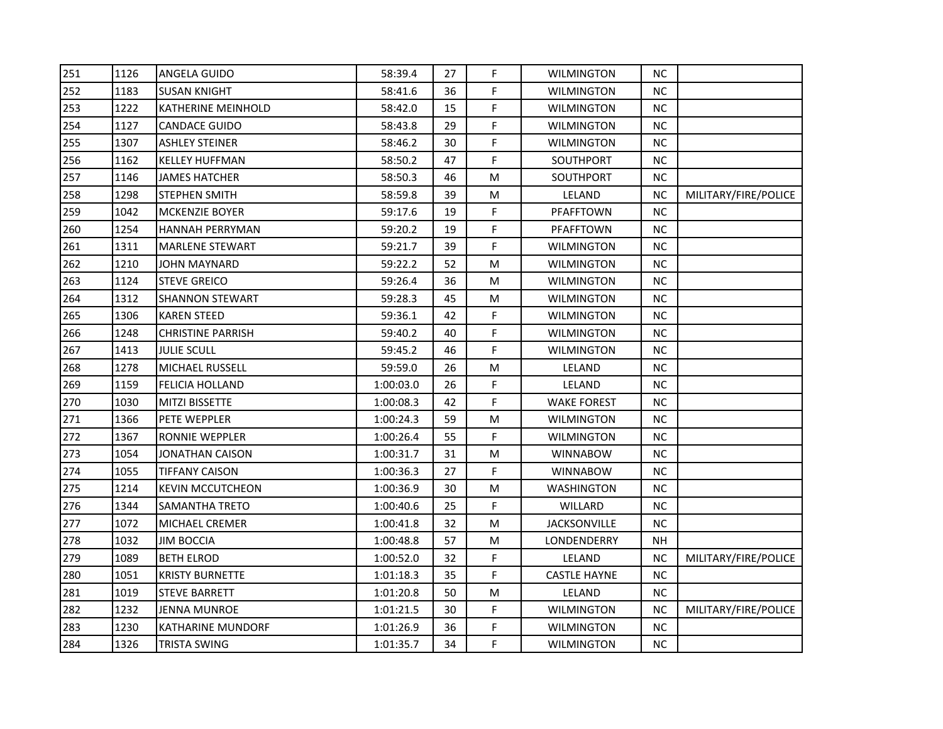| 251 | 1126 | ANGELA GUIDO              | 58:39.4   | 27 | F. | <b>WILMINGTON</b>   | NС        |                      |
|-----|------|---------------------------|-----------|----|----|---------------------|-----------|----------------------|
| 252 | 1183 | <b>SUSAN KNIGHT</b>       | 58:41.6   | 36 | F. | <b>WILMINGTON</b>   | NC        |                      |
| 253 | 1222 | <b>KATHERINE MEINHOLD</b> | 58:42.0   | 15 | F. | <b>WILMINGTON</b>   | <b>NC</b> |                      |
| 254 | 1127 | <b>CANDACE GUIDO</b>      | 58:43.8   | 29 | F  | <b>WILMINGTON</b>   | <b>NC</b> |                      |
| 255 | 1307 | ASHLEY STEINER            | 58:46.2   | 30 | F  | <b>WILMINGTON</b>   | <b>NC</b> |                      |
| 256 | 1162 | <b>KELLEY HUFFMAN</b>     | 58:50.2   | 47 | F  | SOUTHPORT           | NС        |                      |
| 257 | 1146 | <b>JAMES HATCHER</b>      | 58:50.3   | 46 | M  | SOUTHPORT           | NC.       |                      |
| 258 | 1298 | <b>STEPHEN SMITH</b>      | 58:59.8   | 39 | M  | LELAND              | <b>NC</b> | MILITARY/FIRE/POLICE |
| 259 | 1042 | MCKENZIE BOYER            | 59:17.6   | 19 | F  | PFAFFTOWN           | <b>NC</b> |                      |
| 260 | 1254 | HANNAH PERRYMAN           | 59:20.2   | 19 | F  | PFAFFTOWN           | NC.       |                      |
| 261 | 1311 | <b>MARLENE STEWART</b>    | 59:21.7   | 39 | F. | <b>WILMINGTON</b>   | NC.       |                      |
| 262 | 1210 | <b>JOHN MAYNARD</b>       | 59:22.2   | 52 | M  | <b>WILMINGTON</b>   | <b>NC</b> |                      |
| 263 | 1124 | <b>STEVE GREICO</b>       | 59:26.4   | 36 | M  | <b>WILMINGTON</b>   | NC        |                      |
| 264 | 1312 | <b>SHANNON STEWART</b>    | 59:28.3   | 45 | M  | <b>WILMINGTON</b>   | <b>NC</b> |                      |
| 265 | 1306 | KAREN STEED               | 59:36.1   | 42 | F. | <b>WILMINGTON</b>   | <b>NC</b> |                      |
| 266 | 1248 | <b>CHRISTINE PARRISH</b>  | 59:40.2   | 40 | F  | <b>WILMINGTON</b>   | NC.       |                      |
| 267 | 1413 | <b>JULIE SCULL</b>        | 59:45.2   | 46 | F  | <b>WILMINGTON</b>   | NС        |                      |
| 268 | 1278 | MICHAEL RUSSELL           | 59:59.0   | 26 | M  | LELAND              | <b>NC</b> |                      |
| 269 | 1159 | <b>FELICIA HOLLAND</b>    | 1:00:03.0 | 26 | F  | LELAND              | <b>NC</b> |                      |
| 270 | 1030 | <b>MITZI BISSETTE</b>     | 1:00:08.3 | 42 | F  | <b>WAKE FOREST</b>  | NC.       |                      |
| 271 | 1366 | PETE WEPPLER              | 1:00:24.3 | 59 | М  | <b>WILMINGTON</b>   | NC.       |                      |
| 272 | 1367 | RONNIE WEPPLER            | 1:00:26.4 | 55 | F. | <b>WILMINGTON</b>   | <b>NC</b> |                      |
| 273 | 1054 | <b>JONATHAN CAISON</b>    | 1:00:31.7 | 31 | M  | <b>WINNABOW</b>     | <b>NC</b> |                      |
| 274 | 1055 | <b>TIFFANY CAISON</b>     | 1:00:36.3 | 27 | F. | <b>WINNABOW</b>     | <b>NC</b> |                      |
| 275 | 1214 | KEVIN MCCUTCHEON          | 1:00:36.9 | 30 | М  | <b>WASHINGTON</b>   | NC.       |                      |
| 276 | 1344 | SAMANTHA TRETO            | 1:00:40.6 | 25 | F  | WILLARD             | NC.       |                      |
| 277 | 1072 | MICHAEL CREMER            | 1:00:41.8 | 32 | M  | <b>JACKSONVILLE</b> | <b>NC</b> |                      |
| 278 | 1032 | <b>JIM BOCCIA</b>         | 1:00:48.8 | 57 | M  | LONDENDERRY         | NΗ        |                      |
| 279 | 1089 | <b>BETH ELROD</b>         | 1:00:52.0 | 32 | F. | LELAND              | NС        | MILITARY/FIRE/POLICE |
| 280 | 1051 | <b>KRISTY BURNETTE</b>    | 1:01:18.3 | 35 | F  | <b>CASTLE HAYNE</b> | NC        |                      |
| 281 | 1019 | <b>STEVE BARRETT</b>      | 1:01:20.8 | 50 | M  | LELAND              | <b>NC</b> |                      |
| 282 | 1232 | JENNA MUNROE              | 1:01:21.5 | 30 | F. | <b>WILMINGTON</b>   | NC        | MILITARY/FIRE/POLICE |
| 283 | 1230 | KATHARINE MUNDORF         | 1:01:26.9 | 36 | F. | <b>WILMINGTON</b>   | <b>NC</b> |                      |
| 284 | 1326 | <b>TRISTA SWING</b>       | 1:01:35.7 | 34 | F. | WILMINGTON          | NC.       |                      |
|     |      |                           |           |    |    |                     |           |                      |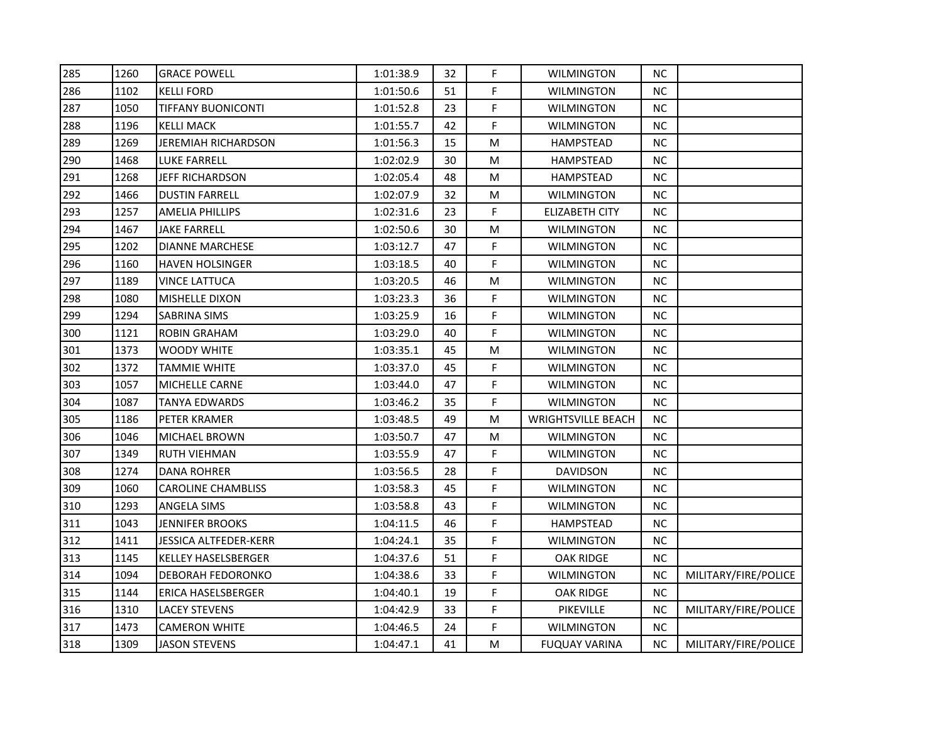| 285 | 1260 | <b>GRACE POWELL</b>        | 1:01:38.9 | 32 | F. | <b>WILMINGTON</b>         | NС        |                      |
|-----|------|----------------------------|-----------|----|----|---------------------------|-----------|----------------------|
| 286 | 1102 | <b>KELLI FORD</b>          | 1:01:50.6 | 51 | F. | <b>WILMINGTON</b>         | <b>NC</b> |                      |
| 287 | 1050 | <b>TIFFANY BUONICONTI</b>  | 1:01:52.8 | 23 | F  | <b>WILMINGTON</b>         | <b>NC</b> |                      |
| 288 | 1196 | <b>KELLI MACK</b>          | 1:01:55.7 | 42 | F. | <b>WILMINGTON</b>         | <b>NC</b> |                      |
| 289 | 1269 | <b>JEREMIAH RICHARDSON</b> | 1:01:56.3 | 15 | М  | <b>HAMPSTEAD</b>          | <b>NC</b> |                      |
| 290 | 1468 | <b>LUKE FARRELL</b>        | 1:02:02.9 | 30 | М  | <b>HAMPSTEAD</b>          | <b>NC</b> |                      |
| 291 | 1268 | JEFF RICHARDSON            | 1:02:05.4 | 48 | М  | <b>HAMPSTEAD</b>          | <b>NC</b> |                      |
| 292 | 1466 | <b>DUSTIN FARRELL</b>      | 1:02:07.9 | 32 | м  | <b>WILMINGTON</b>         | <b>NC</b> |                      |
| 293 | 1257 | <b>AMELIA PHILLIPS</b>     | 1:02:31.6 | 23 | F  | <b>ELIZABETH CITY</b>     | <b>NC</b> |                      |
| 294 | 1467 | JAKE FARRELL               | 1:02:50.6 | 30 | м  | <b>WILMINGTON</b>         | NC.       |                      |
| 295 | 1202 | <b>DIANNE MARCHESE</b>     | 1:03:12.7 | 47 | F. | <b>WILMINGTON</b>         | <b>NC</b> |                      |
| 296 | 1160 | <b>HAVEN HOLSINGER</b>     | 1:03:18.5 | 40 | F. | <b>WILMINGTON</b>         | <b>NC</b> |                      |
| 297 | 1189 | VINCE LATTUCA              | 1:03:20.5 | 46 | м  | WILMINGTON                | NC.       |                      |
| 298 | 1080 | MISHELLE DIXON             | 1:03:23.3 | 36 | F. | <b>WILMINGTON</b>         | <b>NC</b> |                      |
| 299 | 1294 | <b>SABRINA SIMS</b>        | 1:03:25.9 | 16 | F. | <b>WILMINGTON</b>         | <b>NC</b> |                      |
| 300 | 1121 | <b>ROBIN GRAHAM</b>        | 1:03:29.0 | 40 | F  | WILMINGTON                | <b>NC</b> |                      |
| 301 | 1373 | WOODY WHITE                | 1:03:35.1 | 45 | M  | <b>WILMINGTON</b>         | <b>NC</b> |                      |
| 302 | 1372 | TAMMIE WHITE               | 1:03:37.0 | 45 | F  | <b>WILMINGTON</b>         | <b>NC</b> |                      |
| 303 | 1057 | MICHELLE CARNE             | 1:03:44.0 | 47 | F  | <b>WILMINGTON</b>         | <b>NC</b> |                      |
| 304 | 1087 | <b>TANYA EDWARDS</b>       | 1:03:46.2 | 35 | F. | <b>WILMINGTON</b>         | <b>NC</b> |                      |
| 305 | 1186 | PETER KRAMER               | 1:03:48.5 | 49 | M  | <b>WRIGHTSVILLE BEACH</b> | <b>NC</b> |                      |
| 306 | 1046 | MICHAEL BROWN              | 1:03:50.7 | 47 | М  | <b>WILMINGTON</b>         | <b>NC</b> |                      |
| 307 | 1349 | <b>RUTH VIEHMAN</b>        | 1:03:55.9 | 47 | F  | <b>WILMINGTON</b>         | <b>NC</b> |                      |
| 308 | 1274 | <b>DANA ROHRER</b>         | 1:03:56.5 | 28 | F  | <b>DAVIDSON</b>           | <b>NC</b> |                      |
| 309 | 1060 | <b>CAROLINE CHAMBLISS</b>  | 1:03:58.3 | 45 | F. | <b>WILMINGTON</b>         | <b>NC</b> |                      |
| 310 | 1293 | ANGELA SIMS                | 1:03:58.8 | 43 | F  | <b>WILMINGTON</b>         | <b>NC</b> |                      |
| 311 | 1043 | <b>JENNIFER BROOKS</b>     | 1:04:11.5 | 46 | F  | <b>HAMPSTEAD</b>          | <b>NC</b> |                      |
| 312 | 1411 | JESSICA ALTFEDER-KERR      | 1:04:24.1 | 35 | F  | <b>WILMINGTON</b>         | <b>NC</b> |                      |
| 313 | 1145 | <b>KELLEY HASELSBERGER</b> | 1:04:37.6 | 51 | F  | <b>OAK RIDGE</b>          | <b>NC</b> |                      |
| 314 | 1094 | DEBORAH FEDORONKO          | 1:04:38.6 | 33 | F  | <b>WILMINGTON</b>         | <b>NC</b> | MILITARY/FIRE/POLICE |
| 315 | 1144 | <b>ERICA HASELSBERGER</b>  | 1:04:40.1 | 19 | F  | <b>OAK RIDGE</b>          | <b>NC</b> |                      |
| 316 | 1310 | <b>LACEY STEVENS</b>       | 1:04:42.9 | 33 | F  | PIKEVILLE                 | <b>NC</b> | MILITARY/FIRE/POLICE |
| 317 | 1473 | <b>CAMERON WHITE</b>       | 1:04:46.5 | 24 | F  | <b>WILMINGTON</b>         | NC        |                      |
| 318 | 1309 | <b>JASON STEVENS</b>       | 1:04:47.1 | 41 | М  | <b>FUQUAY VARINA</b>      | <b>NC</b> | MILITARY/FIRE/POLICE |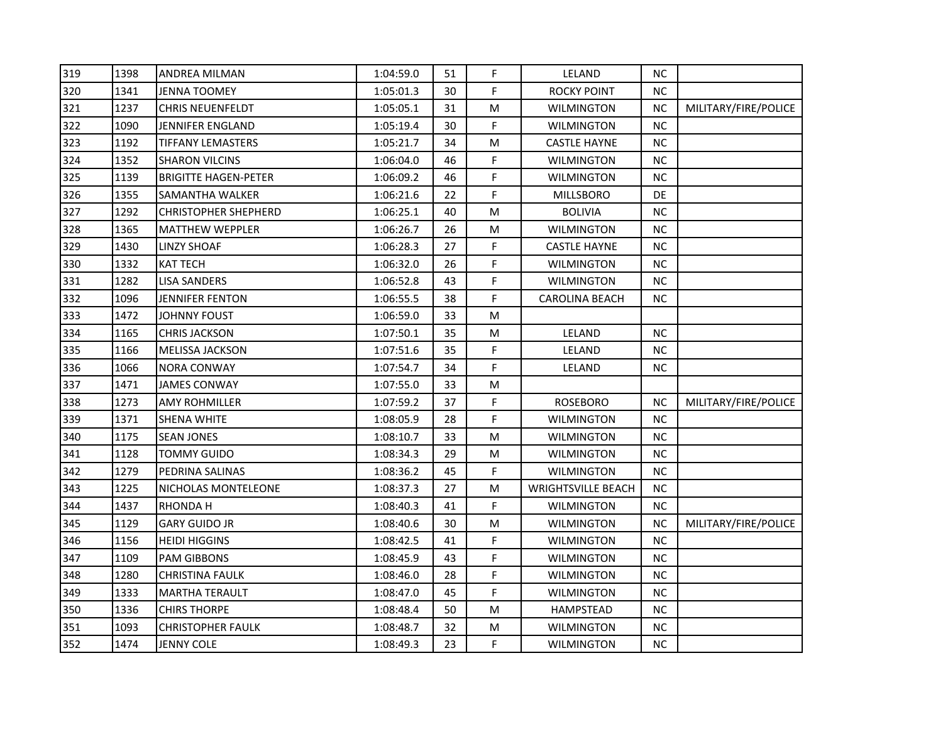| 319 | 1398 | ANDREA MILMAN               | 1:04:59.0 | 51 | F. | LELAND                    | NС        |                      |
|-----|------|-----------------------------|-----------|----|----|---------------------------|-----------|----------------------|
| 320 | 1341 | <b>JENNA TOOMEY</b>         | 1:05:01.3 | 30 | F  | <b>ROCKY POINT</b>        | <b>NC</b> |                      |
| 321 | 1237 | <b>CHRIS NEUENFELDT</b>     | 1:05:05.1 | 31 | M  | <b>WILMINGTON</b>         | <b>NC</b> | MILITARY/FIRE/POLICE |
| 322 | 1090 | JENNIFER ENGLAND            | 1:05:19.4 | 30 | F  | <b>WILMINGTON</b>         | <b>NC</b> |                      |
| 323 | 1192 | TIFFANY LEMASTERS           | 1:05:21.7 | 34 | M  | <b>CASTLE HAYNE</b>       | <b>NC</b> |                      |
| 324 | 1352 | <b>SHARON VILCINS</b>       | 1:06:04.0 | 46 | F. | <b>WILMINGTON</b>         | NC        |                      |
| 325 | 1139 | <b>BRIGITTE HAGEN-PETER</b> | 1:06:09.2 | 46 | F. | <b>WILMINGTON</b>         | NС        |                      |
| 326 | 1355 | SAMANTHA WALKER             | 1:06:21.6 | 22 | F  | <b>MILLSBORO</b>          | DE        |                      |
| 327 | 1292 | <b>CHRISTOPHER SHEPHERD</b> | 1:06:25.1 | 40 | M  | <b>BOLIVIA</b>            | <b>NC</b> |                      |
| 328 | 1365 | <b>MATTHEW WEPPLER</b>      | 1:06:26.7 | 26 | M  | WILMINGTON                | <b>NC</b> |                      |
| 329 | 1430 | LINZY SHOAF                 | 1:06:28.3 | 27 | F. | <b>CASTLE HAYNE</b>       | <b>NC</b> |                      |
| 330 | 1332 | <b>KAT TECH</b>             | 1:06:32.0 | 26 | F. | <b>WILMINGTON</b>         | <b>NC</b> |                      |
| 331 | 1282 | <b>LISA SANDERS</b>         | 1:06:52.8 | 43 | F  | <b>WILMINGTON</b>         | <b>NC</b> |                      |
| 332 | 1096 | <b>JENNIFER FENTON</b>      | 1:06:55.5 | 38 | F. | <b>CAROLINA BEACH</b>     | <b>NC</b> |                      |
| 333 | 1472 | <b>JOHNNY FOUST</b>         | 1:06:59.0 | 33 | M  |                           |           |                      |
| 334 | 1165 | <b>CHRIS JACKSON</b>        | 1:07:50.1 | 35 | М  | LELAND                    | <b>NC</b> |                      |
| 335 | 1166 | MELISSA JACKSON             | 1:07:51.6 | 35 | F. | LELAND                    | <b>NC</b> |                      |
| 336 | 1066 | <b>NORA CONWAY</b>          | 1:07:54.7 | 34 | F. | LELAND                    | <b>NC</b> |                      |
| 337 | 1471 | <b>JAMES CONWAY</b>         | 1:07:55.0 | 33 | M  |                           |           |                      |
| 338 | 1273 | AMY ROHMILLER               | 1:07:59.2 | 37 | F  | <b>ROSEBORO</b>           | <b>NC</b> | MILITARY/FIRE/POLICE |
| 339 | 1371 | SHENA WHITE                 | 1:08:05.9 | 28 | F  | WILMINGTON                | <b>NC</b> |                      |
| 340 | 1175 | <b>SEAN JONES</b>           | 1:08:10.7 | 33 | M  | <b>WILMINGTON</b>         | <b>NC</b> |                      |
| 341 | 1128 | <b>TOMMY GUIDO</b>          | 1:08:34.3 | 29 | M  | <b>WILMINGTON</b>         | <b>NC</b> |                      |
| 342 | 1279 | PEDRINA SALINAS             | 1:08:36.2 | 45 | F. | <b>WILMINGTON</b>         | <b>NC</b> |                      |
| 343 | 1225 | NICHOLAS MONTELEONE         | 1:08:37.3 | 27 | M  | <b>WRIGHTSVILLE BEACH</b> | <b>NC</b> |                      |
| 344 | 1437 | RHONDA H                    | 1:08:40.3 | 41 | F. | <b>WILMINGTON</b>         | <b>NC</b> |                      |
| 345 | 1129 | <b>GARY GUIDO JR</b>        | 1:08:40.6 | 30 | M  | <b>WILMINGTON</b>         | <b>NC</b> | MILITARY/FIRE/POLICE |
| 346 | 1156 | <b>HEIDI HIGGINS</b>        | 1:08:42.5 | 41 | F  | <b>WILMINGTON</b>         | <b>NC</b> |                      |
| 347 | 1109 | PAM GIBBONS                 | 1:08:45.9 | 43 | F. | <b>WILMINGTON</b>         | <b>NC</b> |                      |
| 348 | 1280 | <b>CHRISTINA FAULK</b>      | 1:08:46.0 | 28 | F  | <b>WILMINGTON</b>         | <b>NC</b> |                      |
| 349 | 1333 | <b>MARTHA TERAULT</b>       | 1:08:47.0 | 45 | F. | <b>WILMINGTON</b>         | <b>NC</b> |                      |
| 350 | 1336 | CHIRS THORPE                | 1:08:48.4 | 50 | М  | HAMPSTEAD                 | <b>NC</b> |                      |
| 351 | 1093 | <b>CHRISTOPHER FAULK</b>    | 1:08:48.7 | 32 | M  | <b>WILMINGTON</b>         | <b>NC</b> |                      |
| 352 | 1474 | <b>JENNY COLE</b>           | 1:08:49.3 | 23 | F  | <b>WILMINGTON</b>         | <b>NC</b> |                      |
|     |      |                             |           |    |    |                           |           |                      |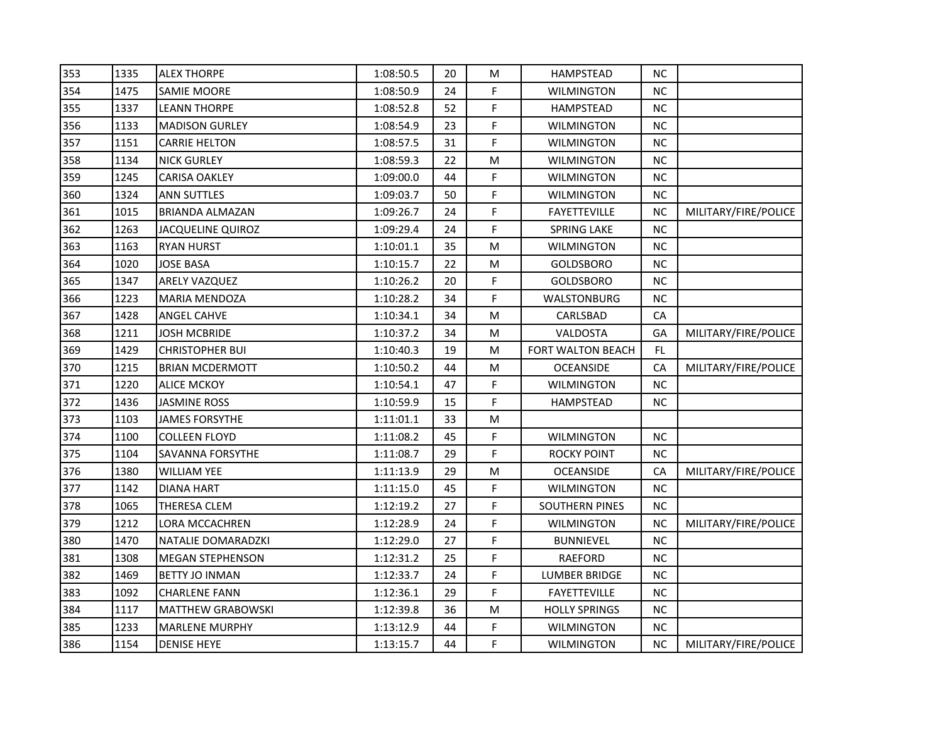| 353 | 1335 | <b>ALEX THORPE</b>       | 1:08:50.5 | 20 | M  | <b>HAMPSTEAD</b>         | <b>NC</b> |                      |
|-----|------|--------------------------|-----------|----|----|--------------------------|-----------|----------------------|
| 354 | 1475 | <b>SAMIE MOORE</b>       | 1:08:50.9 | 24 | F  | <b>WILMINGTON</b>        | <b>NC</b> |                      |
| 355 | 1337 | <b>LEANN THORPE</b>      | 1:08:52.8 | 52 | F  | <b>HAMPSTEAD</b>         | NC        |                      |
| 356 | 1133 | <b>MADISON GURLEY</b>    | 1:08:54.9 | 23 | F  | <b>WILMINGTON</b>        | <b>NC</b> |                      |
| 357 | 1151 | <b>CARRIE HELTON</b>     | 1:08:57.5 | 31 | F. | <b>WILMINGTON</b>        | <b>NC</b> |                      |
| 358 | 1134 | <b>NICK GURLEY</b>       | 1:08:59.3 | 22 | M  | WILMINGTON               | <b>NC</b> |                      |
| 359 | 1245 | CARISA OAKLEY            | 1:09:00.0 | 44 | F  | <b>WILMINGTON</b>        | <b>NC</b> |                      |
| 360 | 1324 | <b>ANN SUTTLES</b>       | 1:09:03.7 | 50 | F  | <b>WILMINGTON</b>        | NC        |                      |
| 361 | 1015 | <b>BRIANDA ALMAZAN</b>   | 1:09:26.7 | 24 | F. | <b>FAYETTEVILLE</b>      | NC        | MILITARY/FIRE/POLICE |
| 362 | 1263 | <b>JACQUELINE QUIROZ</b> | 1:09:29.4 | 24 | F  | <b>SPRING LAKE</b>       | <b>NC</b> |                      |
| 363 | 1163 | <b>RYAN HURST</b>        | 1:10:01.1 | 35 | Μ  | <b>WILMINGTON</b>        | NC        |                      |
| 364 | 1020 | <b>JOSE BASA</b>         | 1:10:15.7 | 22 | M  | GOLDSBORO                | <b>NC</b> |                      |
| 365 | 1347 | ARELY VAZQUEZ            | 1:10:26.2 | 20 | F  | <b>GOLDSBORO</b>         | <b>NC</b> |                      |
| 366 | 1223 | MARIA MENDOZA            | 1:10:28.2 | 34 | F  | <b>WALSTONBURG</b>       | <b>NC</b> |                      |
| 367 | 1428 | <b>ANGEL CAHVE</b>       | 1:10:34.1 | 34 | M  | CARLSBAD                 | CA        |                      |
| 368 | 1211 | JOSH MCBRIDE             | 1:10:37.2 | 34 | M  | VALDOSTA                 | GA        | MILITARY/FIRE/POLICE |
| 369 | 1429 | <b>CHRISTOPHER BUI</b>   | 1:10:40.3 | 19 | M  | <b>FORT WALTON BEACH</b> | FL.       |                      |
| 370 | 1215 | <b>BRIAN MCDERMOTT</b>   | 1:10:50.2 | 44 | M  | <b>OCEANSIDE</b>         | CA        | MILITARY/FIRE/POLICE |
| 371 | 1220 | <b>ALICE MCKOY</b>       | 1:10:54.1 | 47 | F  | <b>WILMINGTON</b>        | <b>NC</b> |                      |
| 372 | 1436 | <b>JASMINE ROSS</b>      | 1:10:59.9 | 15 | F  | <b>HAMPSTEAD</b>         | <b>NC</b> |                      |
| 373 | 1103 | <b>JAMES FORSYTHE</b>    | 1:11:01.1 | 33 | M  |                          |           |                      |
| 374 | 1100 | <b>COLLEEN FLOYD</b>     | 1:11:08.2 | 45 | F  | <b>WILMINGTON</b>        | <b>NC</b> |                      |
| 375 | 1104 | SAVANNA FORSYTHE         | 1:11:08.7 | 29 | F  | <b>ROCKY POINT</b>       | NC        |                      |
| 376 | 1380 | <b>WILLIAM YEE</b>       | 1:11:13.9 | 29 | M  | <b>OCEANSIDE</b>         | CA        | MILITARY/FIRE/POLICE |
| 377 | 1142 | DIANA HART               | 1:11:15.0 | 45 | F  | <b>WILMINGTON</b>        | <b>NC</b> |                      |
| 378 | 1065 | <b>THERESA CLEM</b>      | 1:12:19.2 | 27 | F  | <b>SOUTHERN PINES</b>    | <b>NC</b> |                      |
| 379 | 1212 | LORA MCCACHREN           | 1:12:28.9 | 24 | F  | <b>WILMINGTON</b>        | <b>NC</b> | MILITARY/FIRE/POLICE |
| 380 | 1470 | NATALIE DOMARADZKI       | 1:12:29.0 | 27 | F  | <b>BUNNIEVEL</b>         | <b>NC</b> |                      |
| 381 | 1308 | <b>MEGAN STEPHENSON</b>  | 1:12:31.2 | 25 | F  | <b>RAEFORD</b>           | NC        |                      |
| 382 | 1469 | <b>BETTY JO INMAN</b>    | 1:12:33.7 | 24 | F  | <b>LUMBER BRIDGE</b>     | <b>NC</b> |                      |
| 383 | 1092 | <b>CHARLENE FANN</b>     | 1:12:36.1 | 29 | F  | <b>FAYETTEVILLE</b>      | <b>NC</b> |                      |
| 384 | 1117 | <b>MATTHEW GRABOWSKI</b> | 1:12:39.8 | 36 | M  | <b>HOLLY SPRINGS</b>     | <b>NC</b> |                      |
| 385 | 1233 | <b>MARLENE MURPHY</b>    | 1:13:12.9 | 44 | F  | <b>WILMINGTON</b>        | <b>NC</b> |                      |
| 386 | 1154 | <b>DENISE HEYE</b>       | 1:13:15.7 | 44 | F. | WILMINGTON               | <b>NC</b> | MILITARY/FIRE/POLICE |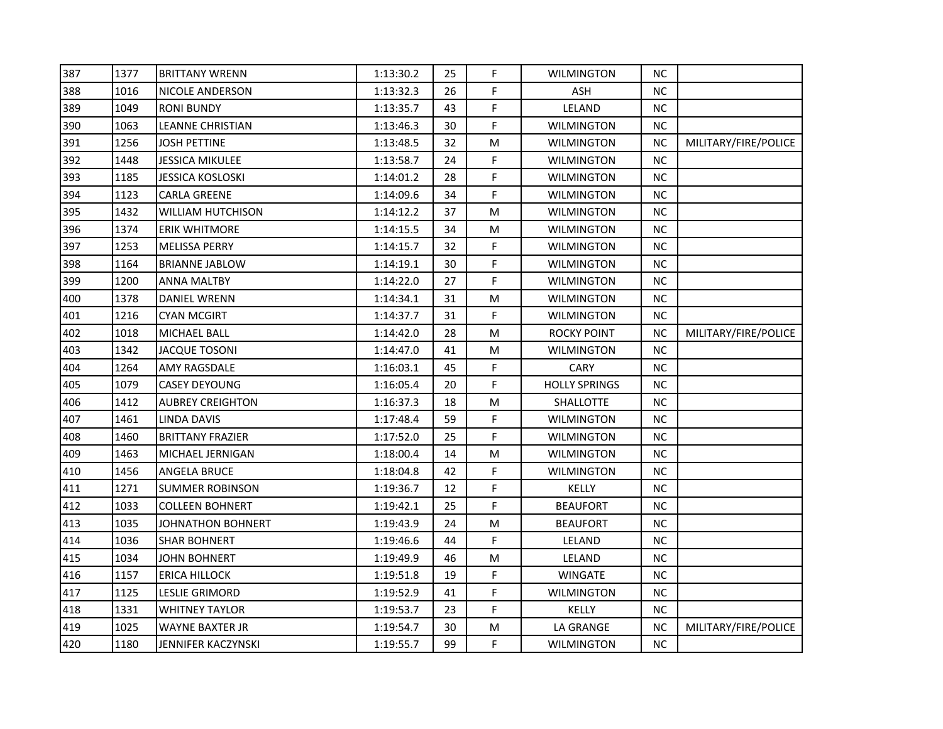| 387 | 1377 | <b>BRITTANY WRENN</b>   | 1:13:30.2 | 25 | F. | <b>WILMINGTON</b>    | NС        |                      |
|-----|------|-------------------------|-----------|----|----|----------------------|-----------|----------------------|
| 388 | 1016 | NICOLE ANDERSON         | 1:13:32.3 | 26 | F  | <b>ASH</b>           | <b>NC</b> |                      |
| 389 | 1049 | <b>RONI BUNDY</b>       | 1:13:35.7 | 43 | F. | LELAND               | <b>NC</b> |                      |
| 390 | 1063 | <b>LEANNE CHRISTIAN</b> | 1:13:46.3 | 30 | F. | <b>WILMINGTON</b>    | <b>NC</b> |                      |
| 391 | 1256 | JOSH PETTINE            | 1:13:48.5 | 32 | M  | <b>WILMINGTON</b>    | <b>NC</b> | MILITARY/FIRE/POLICE |
| 392 | 1448 | JESSICA MIKULEE         | 1:13:58.7 | 24 | F. | <b>WILMINGTON</b>    | <b>NC</b> |                      |
| 393 | 1185 | <b>JESSICA KOSLOSKI</b> | 1:14:01.2 | 28 | F. | <b>WILMINGTON</b>    | <b>NC</b> |                      |
| 394 | 1123 | <b>CARLA GREENE</b>     | 1:14:09.6 | 34 | F  | <b>WILMINGTON</b>    | <b>NC</b> |                      |
| 395 | 1432 | WILLIAM HUTCHISON       | 1:14:12.2 | 37 | M  | <b>WILMINGTON</b>    | <b>NC</b> |                      |
| 396 | 1374 | <b>ERIK WHITMORE</b>    | 1:14:15.5 | 34 | M  | <b>WILMINGTON</b>    | <b>NC</b> |                      |
| 397 | 1253 | MELISSA PERRY           | 1:14:15.7 | 32 | F. | <b>WILMINGTON</b>    | <b>NC</b> |                      |
| 398 | 1164 | <b>BRIANNE JABLOW</b>   | 1:14:19.1 | 30 | F. | <b>WILMINGTON</b>    | <b>NC</b> |                      |
| 399 | 1200 | <b>ANNA MALTBY</b>      | 1:14:22.0 | 27 | F  | <b>WILMINGTON</b>    | <b>NC</b> |                      |
| 400 | 1378 | <b>DANIEL WRENN</b>     | 1:14:34.1 | 31 | M  | <b>WILMINGTON</b>    | <b>NC</b> |                      |
| 401 | 1216 | CYAN MCGIRT             | 1:14:37.7 | 31 | F. | <b>WILMINGTON</b>    | <b>NC</b> |                      |
| 402 | 1018 | MICHAEL BALL            | 1:14:42.0 | 28 | М  | <b>ROCKY POINT</b>   | NC.       | MILITARY/FIRE/POLICE |
| 403 | 1342 | <b>JACQUE TOSONI</b>    | 1:14:47.0 | 41 | M  | <b>WILMINGTON</b>    | <b>NC</b> |                      |
| 404 | 1264 | AMY RAGSDALE            | 1:16:03.1 | 45 | F. | <b>CARY</b>          | <b>NC</b> |                      |
| 405 | 1079 | <b>CASEY DEYOUNG</b>    | 1:16:05.4 | 20 | F. | <b>HOLLY SPRINGS</b> | <b>NC</b> |                      |
| 406 | 1412 | <b>AUBREY CREIGHTON</b> | 1:16:37.3 | 18 | M  | SHALLOTTE            | <b>NC</b> |                      |
| 407 | 1461 | LINDA DAVIS             | 1:17:48.4 | 59 | F. | <b>WILMINGTON</b>    | <b>NC</b> |                      |
| 408 | 1460 | <b>BRITTANY FRAZIER</b> | 1:17:52.0 | 25 | F. | <b>WILMINGTON</b>    | <b>NC</b> |                      |
| 409 | 1463 | MICHAEL JERNIGAN        | 1:18:00.4 | 14 | M  | <b>WILMINGTON</b>    | <b>NC</b> |                      |
| 410 | 1456 | <b>ANGELA BRUCE</b>     | 1:18:04.8 | 42 | F. | <b>WILMINGTON</b>    | <b>NC</b> |                      |
| 411 | 1271 | <b>SUMMER ROBINSON</b>  | 1:19:36.7 | 12 | F  | KELLY                | <b>NC</b> |                      |
| 412 | 1033 | <b>COLLEEN BOHNERT</b>  | 1:19:42.1 | 25 | F. | <b>BEAUFORT</b>      | <b>NC</b> |                      |
| 413 | 1035 | JOHNATHON BOHNERT       | 1:19:43.9 | 24 | M  | <b>BEAUFORT</b>      | <b>NC</b> |                      |
| 414 | 1036 | <b>SHAR BOHNERT</b>     | 1:19:46.6 | 44 | F  | LELAND               | <b>NC</b> |                      |
| 415 | 1034 | JOHN BOHNERT            | 1:19:49.9 | 46 | М  | LELAND               | <b>NC</b> |                      |
| 416 | 1157 | <b>ERICA HILLOCK</b>    | 1:19:51.8 | 19 | F  | <b>WINGATE</b>       | <b>NC</b> |                      |
| 417 | 1125 | LESLIE GRIMORD          | 1:19:52.9 | 41 | F  | <b>WILMINGTON</b>    | <b>NC</b> |                      |
| 418 | 1331 | <b>WHITNEY TAYLOR</b>   | 1:19:53.7 | 23 | F  | KELLY                | <b>NC</b> |                      |
| 419 | 1025 | <b>WAYNE BAXTER JR</b>  | 1:19:54.7 | 30 | M  | LA GRANGE            | <b>NC</b> | MILITARY/FIRE/POLICE |
| 420 | 1180 | JENNIFER KACZYNSKI      | 1:19:55.7 | 99 | F  | <b>WILMINGTON</b>    | <b>NC</b> |                      |
|     |      |                         |           |    |    |                      |           |                      |